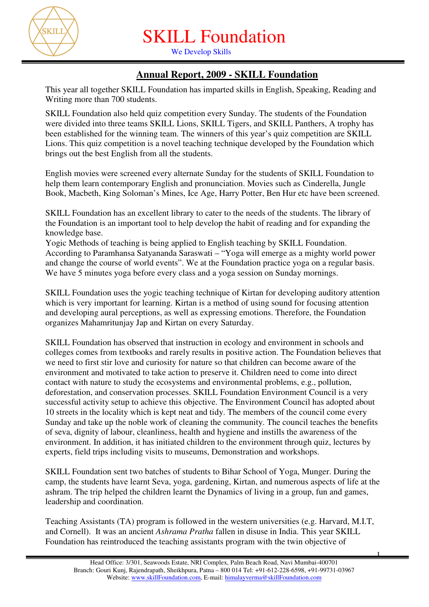

We Develop Skills

## **Annual Report, 2009 - SKILL Foundation**

This year all together SKILL Foundation has imparted skills in English, Speaking, Reading and Writing more than 700 students.

SKILL Foundation also held quiz competition every Sunday. The students of the Foundation were divided into three teams SKILL Lions, SKILL Tigers, and SKILL Panthers, A trophy has been established for the winning team. The winners of this year's quiz competition are SKILL Lions. This quiz competition is a novel teaching technique developed by the Foundation which brings out the best English from all the students.

English movies were screened every alternate Sunday for the students of SKILL Foundation to help them learn contemporary English and pronunciation. Movies such as Cinderella, Jungle Book, Macbeth, King Soloman's Mines, Ice Age, Harry Potter, Ben Hur etc have been screened.

SKILL Foundation has an excellent library to cater to the needs of the students. The library of the Foundation is an important tool to help develop the habit of reading and for expanding the knowledge base.

Yogic Methods of teaching is being applied to English teaching by SKILL Foundation. According to Paramhansa Satyananda Saraswati – "Yoga will emerge as a mighty world power and change the course of world events". We at the Foundation practice yoga on a regular basis. We have 5 minutes yoga before every class and a yoga session on Sunday mornings.

SKILL Foundation uses the yogic teaching technique of Kirtan for developing auditory attention which is very important for learning. Kirtan is a method of using sound for focusing attention and developing aural perceptions, as well as expressing emotions. Therefore, the Foundation organizes Mahamritunjay Jap and Kirtan on every Saturday.

SKILL Foundation has observed that instruction in ecology and environment in schools and colleges comes from textbooks and rarely results in positive action. The Foundation believes that we need to first stir love and curiosity for nature so that children can become aware of the environment and motivated to take action to preserve it. Children need to come into direct contact with nature to study the ecosystems and environmental problems, e.g., pollution, deforestation, and conservation processes. SKILL Foundation Environment Council is a very successful activity setup to achieve this objective. The Environment Council has adopted about 10 streets in the locality which is kept neat and tidy. The members of the council come every Sunday and take up the noble work of cleaning the community. The council teaches the benefits of seva, dignity of labour, cleanliness, health and hygiene and instills the awareness of the environment. In addition, it has initiated children to the environment through quiz, lectures by experts, field trips including visits to museums, Demonstration and workshops.

SKILL Foundation sent two batches of students to Bihar School of Yoga, Munger. During the camp, the students have learnt Seva, yoga, gardening, Kirtan, and numerous aspects of life at the ashram. The trip helped the children learnt the Dynamics of living in a group, fun and games, leadership and coordination.

Teaching Assistants (TA) program is followed in the western universities (e.g. Harvard, M.I.T, and Cornell). It was an ancient *Ashrama Pratha* fallen in disuse in India. This year SKILL Foundation has reintroduced the teaching assistants program with the twin objective of

1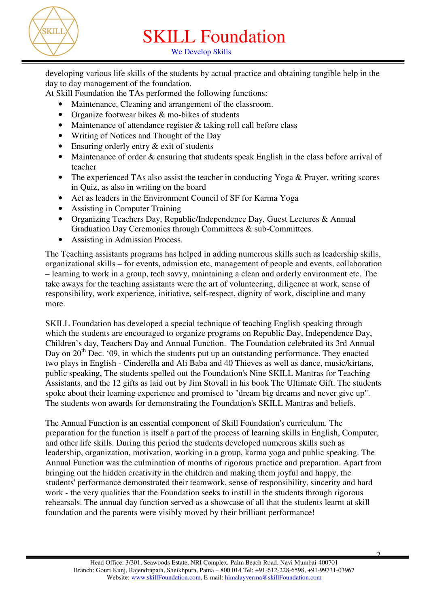

We Develop Skills

developing various life skills of the students by actual practice and obtaining tangible help in the day to day management of the foundation.

At Skill Foundation the TAs performed the following functions:

- Maintenance, Cleaning and arrangement of the classroom.
- Organize footwear bikes & mo-bikes of students
- Maintenance of attendance register & taking roll call before class
- Writing of Notices and Thought of the Day
- Ensuring orderly entry  $&$  exit of students
- Maintenance of order & ensuring that students speak English in the class before arrival of teacher
- The experienced TAs also assist the teacher in conducting Yoga & Prayer, writing scores in Quiz, as also in writing on the board
- Act as leaders in the Environment Council of SF for Karma Yoga
- Assisting in Computer Training
- Organizing Teachers Day, Republic/Independence Day, Guest Lectures & Annual Graduation Day Ceremonies through Committees & sub-Committees.
- Assisting in Admission Process.

The Teaching assistants programs has helped in adding numerous skills such as leadership skills, organizational skills – for events, admission etc, management of people and events, collaboration – learning to work in a group, tech savvy, maintaining a clean and orderly environment etc. The take aways for the teaching assistants were the art of volunteering, diligence at work, sense of responsibility, work experience, initiative, self-respect, dignity of work, discipline and many more.

SKILL Foundation has developed a special technique of teaching English speaking through which the students are encouraged to organize programs on Republic Day, Independence Day, Children's day, Teachers Day and Annual Function. The Foundation celebrated its 3rd Annual Day on  $20<sup>th</sup>$  Dec. '09, in which the students put up an outstanding performance. They enacted two plays in English - Cinderella and Ali Baba and 40 Thieves as well as dance, music/kirtans, public speaking, The students spelled out the Foundation's Nine SKILL Mantras for Teaching Assistants, and the 12 gifts as laid out by Jim Stovall in his book The Ultimate Gift. The students spoke about their learning experience and promised to "dream big dreams and never give up". The students won awards for demonstrating the Foundation's SKILL Mantras and beliefs.

The Annual Function is an essential component of Skill Foundation's curriculum. The preparation for the function is itself a part of the process of learning skills in English, Computer, and other life skills. During this period the students developed numerous skills such as leadership, organization, motivation, working in a group, karma yoga and public speaking. The Annual Function was the culmination of months of rigorous practice and preparation. Apart from bringing out the hidden creativity in the children and making them joyful and happy, the students' performance demonstrated their teamwork, sense of responsibility, sincerity and hard work - the very qualities that the Foundation seeks to instill in the students through rigorous rehearsals. The annual day function served as a showcase of all that the students learnt at skill foundation and the parents were visibly moved by their brilliant performance!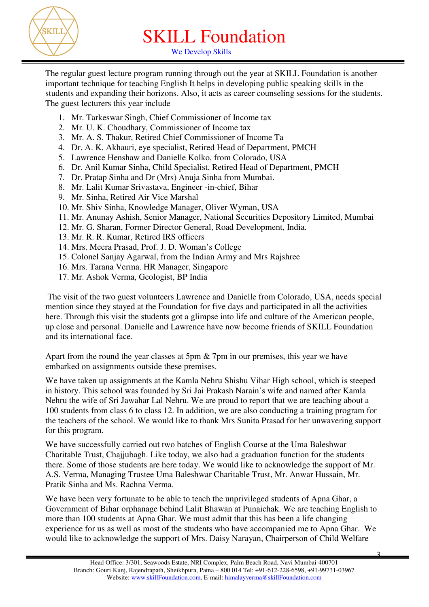

We Develop Skills

The regular guest lecture program running through out the year at SKILL Foundation is another important technique for teaching English It helps in developing public speaking skills in the students and expanding their horizons. Also, it acts as career counseling sessions for the students. The guest lecturers this year include

- 1. Mr. Tarkeswar Singh, Chief Commissioner of Income tax
- 2. Mr. U. K. Choudhary, Commissioner of Income tax
- 3. Mr. A. S. Thakur, Retired Chief Commissioner of Income Ta
- 4. Dr. A. K. Akhauri, eye specialist, Retired Head of Department, PMCH
- 5. Lawrence Henshaw and Danielle Kolko, from Colorado, USA
- 6. Dr. Anil Kumar Sinha, Child Specialist, Retired Head of Department, PMCH
- 7. Dr. Pratap Sinha and Dr (Mrs) Anuja Sinha from Mumbai.
- 8. Mr. Lalit Kumar Srivastava, Engineer -in-chief, Bihar
- 9. Mr. Sinha, Retired Air Vice Marshal
- 10. Mr. Shiv Sinha, Knowledge Manager, Oliver Wyman, USA
- 11. Mr. Anunay Ashish, Senior Manager, National Securities Depository Limited, Mumbai
- 12. Mr. G. Sharan, Former Director General, Road Development, India.
- 13. Mr. R. R. Kumar, Retired IRS officers
- 14. Mrs. Meera Prasad, Prof. J. D. Woman's College
- 15. Colonel Sanjay Agarwal, from the Indian Army and Mrs Rajshree
- 16. Mrs. Tarana Verma. HR Manager, Singapore
- 17. Mr. Ashok Verma, Geologist, BP India

 The visit of the two guest volunteers Lawrence and Danielle from Colorado, USA, needs special mention since they stayed at the Foundation for five days and participated in all the activities here. Through this visit the students got a glimpse into life and culture of the American people, up close and personal. Danielle and Lawrence have now become friends of SKILL Foundation and its international face.

Apart from the round the year classes at 5pm & 7pm in our premises, this year we have embarked on assignments outside these premises.

We have taken up assignments at the Kamla Nehru Shishu Vihar High school, which is steeped in history. This school was founded by Sri Jai Prakash Narain's wife and named after Kamla Nehru the wife of Sri Jawahar Lal Nehru. We are proud to report that we are teaching about a 100 students from class 6 to class 12. In addition, we are also conducting a training program for the teachers of the school. We would like to thank Mrs Sunita Prasad for her unwavering support for this program.

We have successfully carried out two batches of English Course at the Uma Baleshwar Charitable Trust, Chajjubagh. Like today, we also had a graduation function for the students there. Some of those students are here today. We would like to acknowledge the support of Mr. A.S. Verma, Managing Trustee Uma Baleshwar Charitable Trust, Mr. Anwar Hussain, Mr. Pratik Sinha and Ms. Rachna Verma.

We have been very fortunate to be able to teach the unprivileged students of Apna Ghar, a Government of Bihar orphanage behind Lalit Bhawan at Punaichak. We are teaching English to more than 100 students at Apna Ghar. We must admit that this has been a life changing experience for us as well as most of the students who have accompanied me to Apna Ghar. We would like to acknowledge the support of Mrs. Daisy Narayan, Chairperson of Child Welfare